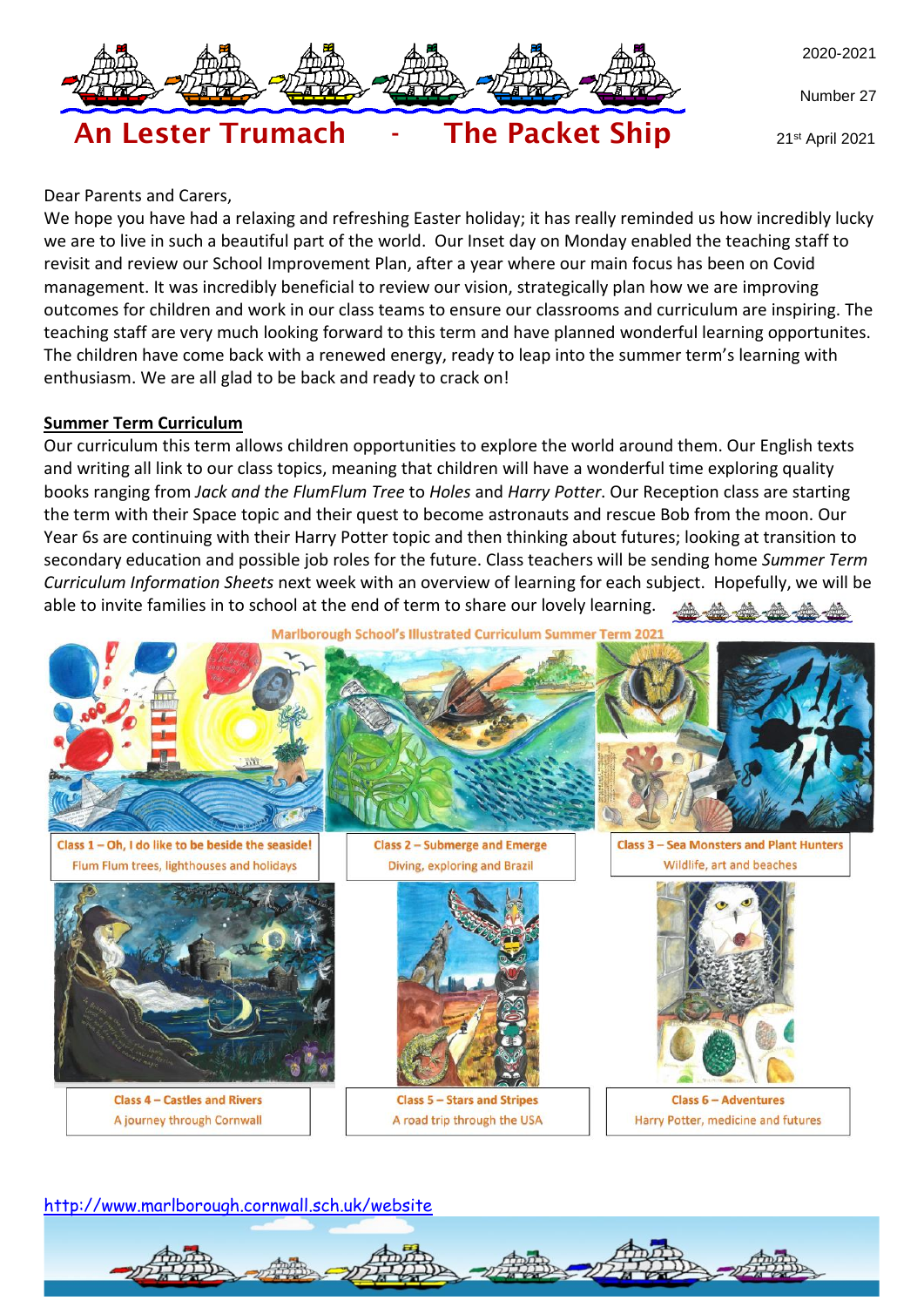

Number 27

21st April 2021

# An Lester Trumach - The Packet Ship

#### Dear Parents and Carers,

We hope you have had a relaxing and refreshing Easter holiday; it has really reminded us how incredibly lucky we are to live in such a beautiful part of the world. Our Inset day on Monday enabled the teaching staff to revisit and review our School Improvement Plan, after a year where our main focus has been on Covid management. It was incredibly beneficial to review our vision, strategically plan how we are improving outcomes for children and work in our class teams to ensure our classrooms and curriculum are inspiring. The teaching staff are very much looking forward to this term and have planned wonderful learning opportunites. The children have come back with a renewed energy, ready to leap into the summer term's learning with enthusiasm. We are all glad to be back and ready to crack on!

#### **Summer Term Curriculum**

Our curriculum this term allows children opportunities to explore the world around them. Our English texts and writing all link to our class topics, meaning that children will have a wonderful time exploring quality books ranging from *Jack and the FlumFlum Tree* to *Holes* and *Harry Potter*. Our Reception class are starting the term with their Space topic and their quest to become astronauts and rescue Bob from the moon. Our Year 6s are continuing with their Harry Potter topic and then thinking about futures; looking at transition to secondary education and possible job roles for the future. Class teachers will be sending home *Summer Term Curriculum Information Sheets* next week with an overview of learning for each subject. Hopefully, we will be able to invite families in to school at the end of term to share our lovely learning.地地

Marlborough School's Illustrated Curriculum Summer Term 2021



Class 1 - Oh, I do like to be beside the seaside! Flum Flum trees, lighthouses and holidays







**Class 4 - Castles and Rivers** A journey through Cornwall



**Class 5 - Stars and Stripes** A road trip through the USA



**Class 3 - Sea Monsters and Plant Hunters** Wildlife, art and beaches



**Class 6 - Adventures** Harry Potter, medicine and futures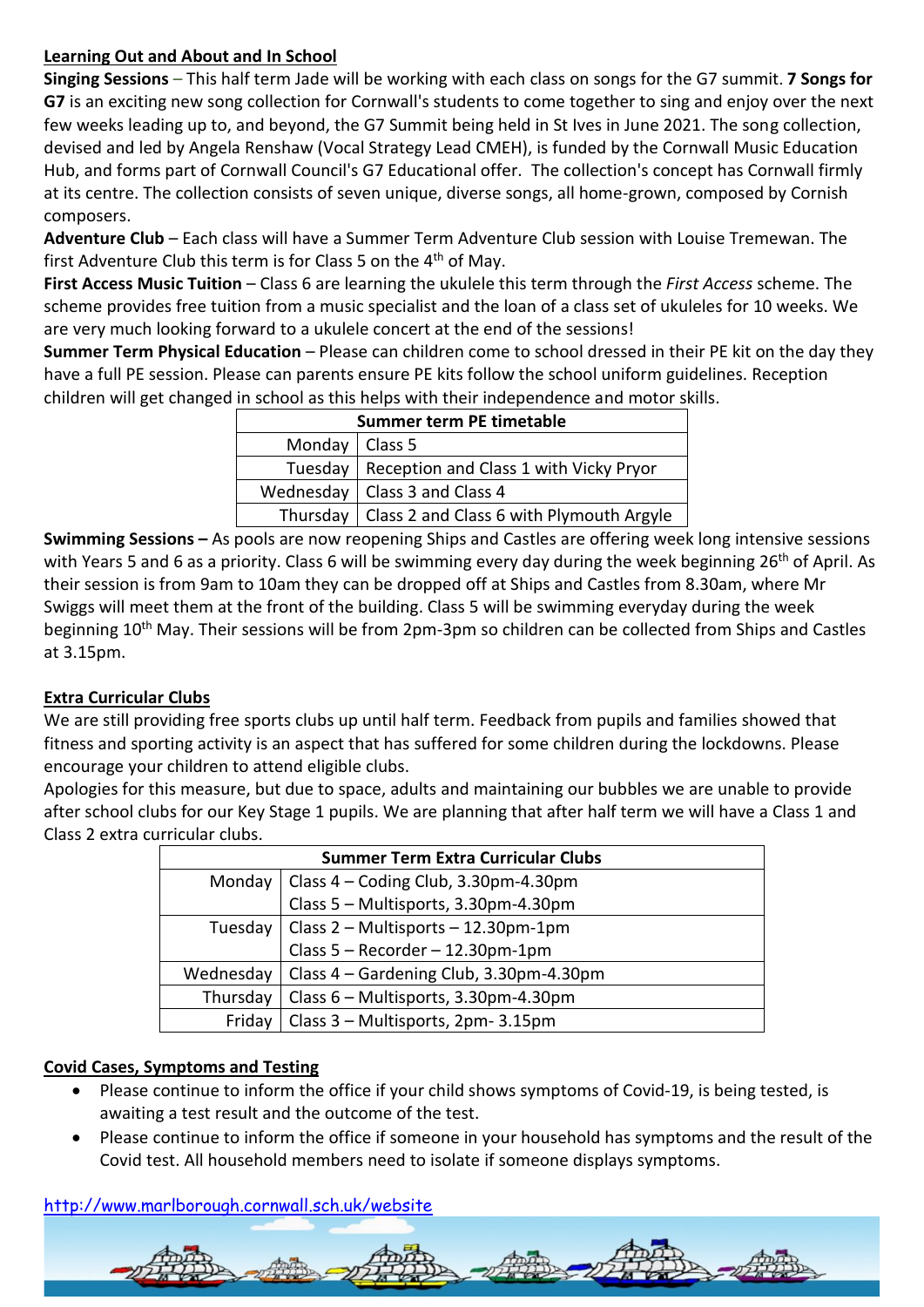# **Learning Out and About and In School**

**Singing Sessions** – This half term Jade will be working with each class on songs for the G7 summit. **7 Songs for G7** is an exciting new song collection for Cornwall's students to come together to sing and enjoy over the next few weeks leading up to, and beyond, the G7 Summit being held in St Ives in June 2021. The song collection, devised and led by Angela Renshaw (Vocal Strategy Lead CMEH), is funded by the Cornwall Music Education Hub, and forms part of Cornwall Council's G7 Educational offer. The collection's concept has Cornwall firmly at its centre. The collection consists of seven unique, diverse songs, all home-grown, composed by Cornish composers.

**Adventure Club** – Each class will have a Summer Term Adventure Club session with Louise Tremewan. The first Adventure Club this term is for Class 5 on the 4<sup>th</sup> of May.

**First Access Music Tuition** – Class 6 are learning the ukulele this term through the *First Access* scheme. The scheme provides free tuition from a music specialist and the loan of a class set of ukuleles for 10 weeks. We are very much looking forward to a ukulele concert at the end of the sessions!

**Summer Term Physical Education** – Please can children come to school dressed in their PE kit on the day they have a full PE session. Please can parents ensure PE kits follow the school uniform guidelines. Reception children will get changed in school as this helps with their independence and motor skills.

| Summer term PE timetable |                                                     |
|--------------------------|-----------------------------------------------------|
| Monday   Class 5         |                                                     |
|                          | Tuesday   Reception and Class 1 with Vicky Pryor    |
|                          | Wednesday   Class 3 and Class 4                     |
|                          | Thursday   Class 2 and Class 6 with Plymouth Argyle |

**Swimming Sessions –** As pools are now reopening Ships and Castles are offering week long intensive sessions with Years 5 and 6 as a priority. Class 6 will be swimming every day during the week beginning 26<sup>th</sup> of April. As their session is from 9am to 10am they can be dropped off at Ships and Castles from 8.30am, where Mr Swiggs will meet them at the front of the building. Class 5 will be swimming everyday during the week beginning 10th May. Their sessions will be from 2pm-3pm so children can be collected from Ships and Castles at 3.15pm.

# **Extra Curricular Clubs**

We are still providing free sports clubs up until half term. Feedback from pupils and families showed that fitness and sporting activity is an aspect that has suffered for some children during the lockdowns. Please encourage your children to attend eligible clubs.

Apologies for this measure, but due to space, adults and maintaining our bubbles we are unable to provide after school clubs for our Key Stage 1 pupils. We are planning that after half term we will have a Class 1 and Class 2 extra curricular clubs.

| <b>Summer Term Extra Curricular Clubs</b> |                                         |
|-------------------------------------------|-----------------------------------------|
| Monday                                    | Class 4 - Coding Club, 3.30pm-4.30pm    |
|                                           | Class 5 - Multisports, 3.30pm-4.30pm    |
| Tuesday                                   | Class 2 - Multisports - 12.30pm-1pm     |
|                                           | Class 5 - Recorder - 12.30pm-1pm        |
| Wednesday                                 | Class 4 - Gardening Club, 3.30pm-4.30pm |
| Thursday                                  | Class 6 - Multisports, 3.30pm-4.30pm    |
| Friday                                    | Class 3 - Multisports, 2pm-3.15pm       |

# **Covid Cases, Symptoms and Testing**

- Please continue to inform the office if your child shows symptoms of Covid-19, is being tested, is awaiting a test result and the outcome of the test.
- Please continue to inform the office if someone in your household has symptoms and the result of the Covid test. All household members need to isolate if someone displays symptoms.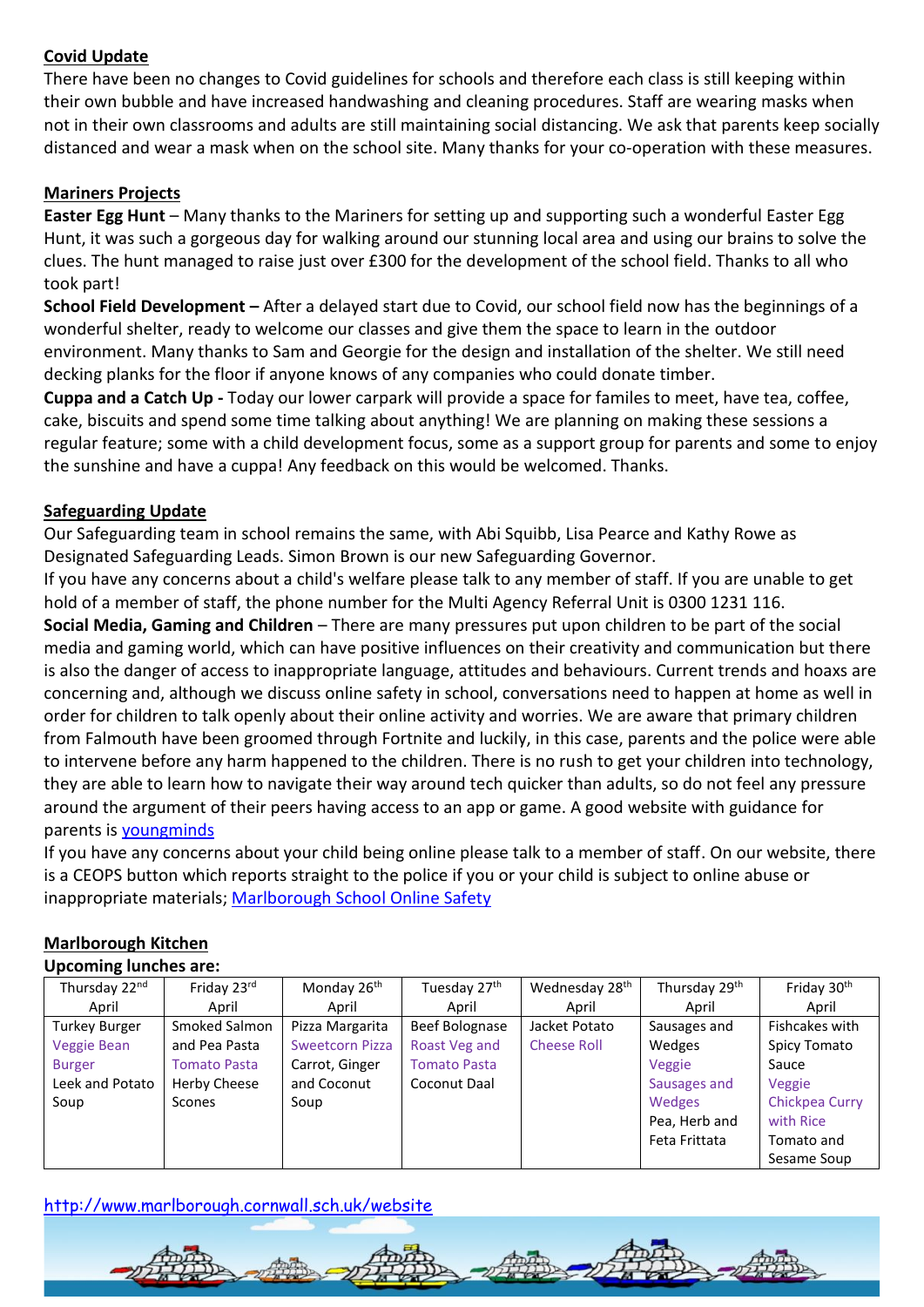## **Covid Update**

There have been no changes to Covid guidelines for schools and therefore each class is still keeping within their own bubble and have increased handwashing and cleaning procedures. Staff are wearing masks when not in their own classrooms and adults are still maintaining social distancing. We ask that parents keep socially distanced and wear a mask when on the school site. Many thanks for your co-operation with these measures.

#### **Mariners Projects**

**Easter Egg Hunt** – Many thanks to the Mariners for setting up and supporting such a wonderful Easter Egg Hunt, it was such a gorgeous day for walking around our stunning local area and using our brains to solve the clues. The hunt managed to raise just over £300 for the development of the school field. Thanks to all who took part!

**School Field Development –** After a delayed start due to Covid, our school field now has the beginnings of a wonderful shelter, ready to welcome our classes and give them the space to learn in the outdoor environment. Many thanks to Sam and Georgie for the design and installation of the shelter. We still need decking planks for the floor if anyone knows of any companies who could donate timber.

**Cuppa and a Catch Up -** Today our lower carpark will provide a space for familes to meet, have tea, coffee, cake, biscuits and spend some time talking about anything! We are planning on making these sessions a regular feature; some with a child development focus, some as a support group for parents and some to enjoy the sunshine and have a cuppa! Any feedback on this would be welcomed. Thanks.

#### **Safeguarding Update**

Our Safeguarding team in school remains the same, with Abi Squibb, Lisa Pearce and Kathy Rowe as Designated Safeguarding Leads. Simon Brown is our new Safeguarding Governor.

If you have any concerns about a child's welfare please talk to any member of staff. If you are unable to get hold of a member of staff, the phone number for the Multi Agency Referral Unit is 0300 1231 116.

**Social Media, Gaming and Children** – There are many pressures put upon children to be part of the social media and gaming world, which can have positive influences on their creativity and communication but there is also the danger of access to inappropriate language, attitudes and behaviours. Current trends and hoaxs are concerning and, although we discuss online safety in school, conversations need to happen at home as well in order for children to talk openly about their online activity and worries. We are aware that primary children from Falmouth have been groomed through Fortnite and luckily, in this case, parents and the police were able to intervene before any harm happened to the children. There is no rush to get your children into technology, they are able to learn how to navigate their way around tech quicker than adults, so do not feel any pressure around the argument of their peers having access to an app or game. A good website with guidance for parents is [youngminds](https://youngminds.org.uk/find-help/for-parents/parents-guide-to-support-a-z/parents-guide-to-support-social-media-and-the-internet/) 

If you have any concerns about your child being online please talk to a member of staff. On our website, there is a CEOPS button which reports straight to the police if you or your child is subject to online abuse or inappropriate materials; [Marlborough School Online Safety](http://www.marlborough.cornwall.sch.uk/website/online_safety/523101)

#### Thursday 22nd April Friday 23rd April Monday 26<sup>th</sup> April Tuesday 27th April Wednesday 28<sup>th</sup> April Thursday 29th April Friday 30th April Turkey Burger Veggie Bean Burger Leek and Potato Soup Smoked Salmon and Pea Pasta Tomato Pasta Herby Cheese Scones Pizza Margarita Sweetcorn Pizza Carrot, Ginger and Coconut Soup Beef Bolognase Roast Veg and Tomato Pasta Coconut Daal Jacket Potato Cheese Roll Sausages and Wedges Veggie Sausages and **Wedges** Pea, Herb and Feta Frittata Fishcakes with Spicy Tomato Sauce Veggie Chickpea Curry with Rice Tomato and Sesame Soup

### **Marlborough Kitchen**

#### **Upcoming lunches are:**